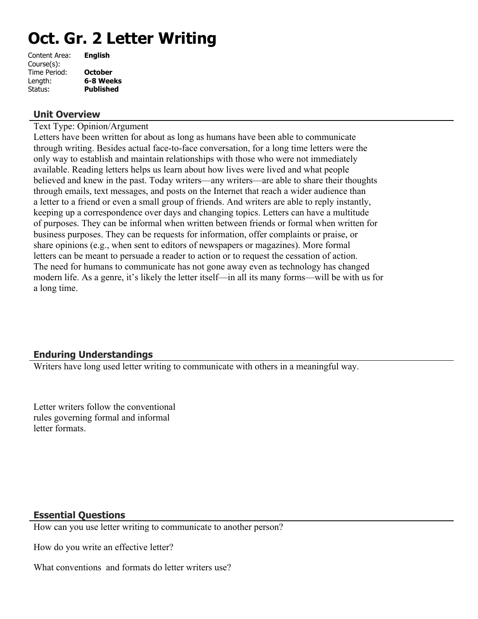# **Oct. Gr. 2 Letter Writing**

| Content Area: | <b>English</b>   |
|---------------|------------------|
| Course(s):    |                  |
| Time Period:  | <b>October</b>   |
| Length:       | 6-8 Weeks        |
| Status:       | <b>Published</b> |
|               |                  |

## **Unit Overview**

Text Type: Opinion/Argument

Letters have been written for about as long as humans have been able to communicate through writing. Besides actual face-to-face conversation, for a long time letters were the only way to establish and maintain relationships with those who were not immediately available. Reading letters helps us learn about how lives were lived and what people believed and knew in the past. Today writers—any writers—are able to share their thoughts through emails, text messages, and posts on the Internet that reach a wider audience than a letter to a friend or even a small group of friends. And writers are able to reply instantly, keeping up a correspondence over days and changing topics. Letters can have a multitude of purposes. They can be informal when written between friends or formal when written for business purposes. They can be requests for information, offer complaints or praise, or share opinions (e.g., when sent to editors of newspapers or magazines). More formal letters can be meant to persuade a reader to action or to request the cessation of action. The need for humans to communicate has not gone away even as technology has changed modern life. As a genre, it's likely the letter itself—in all its many forms—will be with us for a long time.

# **Enduring Understandings**

Writers have long used letter writing to communicate with others in a meaningful way.

Letter writers follow the conventional rules governing formal and informal letter formats.

## **Essential Questions**

How can you use letter writing to communicate to another person?

How do you write an effective letter?

What conventions and formats do letter writers use?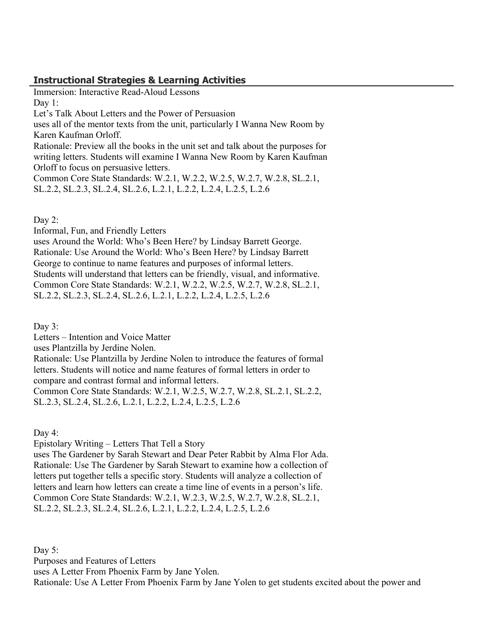# **Instructional Strategies & Learning Activities**

Immersion: Interactive Read-Aloud Lessons Day 1: Let's Talk About Letters and the Power of Persuasion uses all of the mentor texts from the unit, particularly I Wanna New Room by Karen Kaufman Orloff. Rationale: Preview all the books in the unit set and talk about the purposes for writing letters. Students will examine I Wanna New Room by Karen Kaufman Orloff to focus on persuasive letters. Common Core State Standards: W.2.1, W.2.2, W.2.5, W.2.7, W.2.8, SL.2.1, SL.2.2, SL.2.3, SL.2.4, SL.2.6, L.2.1, L.2.2, L.2.4, L.2.5, L.2.6

Day  $2$ :

Informal, Fun, and Friendly Letters

uses Around the World: Who's Been Here? by Lindsay Barrett George. Rationale: Use Around the World: Who's Been Here? by Lindsay Barrett George to continue to name features and purposes of informal letters. Students will understand that letters can be friendly, visual, and informative. Common Core State Standards: W.2.1, W.2.2, W.2.5, W.2.7, W.2.8, SL.2.1, SL.2.2, SL.2.3, SL.2.4, SL.2.6, L.2.1, L.2.2, L.2.4, L.2.5, L.2.6

Day 3:

Letters – Intention and Voice Matter

uses Plantzilla by Jerdine Nolen.

Rationale: Use Plantzilla by Jerdine Nolen to introduce the features of formal letters. Students will notice and name features of formal letters in order to compare and contrast formal and informal letters. Common Core State Standards: W.2.1, W.2.5, W.2.7, W.2.8, SL.2.1, SL.2.2,

SL.2.3, SL.2.4, SL.2.6, L.2.1, L.2.2, L.2.4, L.2.5, L.2.6

Day 4:

Epistolary Writing – Letters That Tell a Story

uses The Gardener by Sarah Stewart and Dear Peter Rabbit by Alma Flor Ada. Rationale: Use The Gardener by Sarah Stewart to examine how a collection of letters put together tells a specific story. Students will analyze a collection of letters and learn how letters can create a time line of events in a person's life. Common Core State Standards: W.2.1, W.2.3, W.2.5, W.2.7, W.2.8, SL.2.1, SL.2.2, SL.2.3, SL.2.4, SL.2.6, L.2.1, L.2.2, L.2.4, L.2.5, L.2.6

Day 5: Purposes and Features of Letters uses A Letter From Phoenix Farm by Jane Yolen. Rationale: Use A Letter From Phoenix Farm by Jane Yolen to get students excited about the power and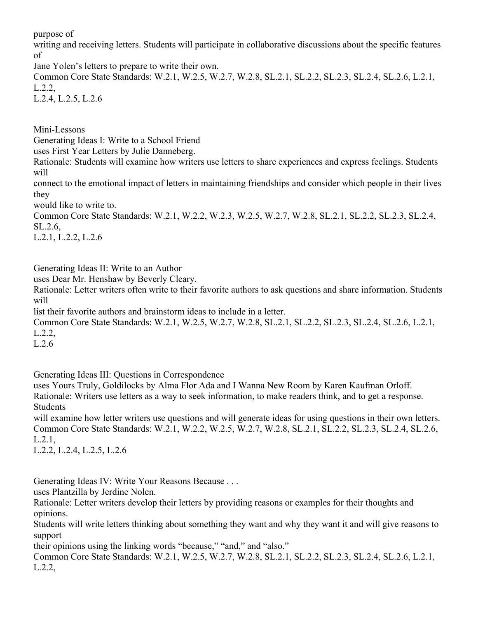purpose of

writing and receiving letters. Students will participate in collaborative discussions about the specific features of

Jane Yolen's letters to prepare to write their own.

Common Core State Standards: W.2.1, W.2.5, W.2.7, W.2.8, SL.2.1, SL.2.2, SL.2.3, SL.2.4, SL.2.6, L.2.1, L.2.2, L.2.4, L.2.5, L.2.6

Mini-Lessons

Generating Ideas I: Write to a School Friend

uses First Year Letters by Julie Danneberg.

Rationale: Students will examine how writers use letters to share experiences and express feelings. Students will

connect to the emotional impact of letters in maintaining friendships and consider which people in their lives they

would like to write to.

Common Core State Standards: W.2.1, W.2.2, W.2.3, W.2.5, W.2.7, W.2.8, SL.2.1, SL.2.2, SL.2.3, SL.2.4, SL.2.6,

L.2.1, L.2.2, L.2.6

Generating Ideas II: Write to an Author

uses Dear Mr. Henshaw by Beverly Cleary.

Rationale: Letter writers often write to their favorite authors to ask questions and share information. Students will

list their favorite authors and brainstorm ideas to include in a letter.

Common Core State Standards: W.2.1, W.2.5, W.2.7, W.2.8, SL.2.1, SL.2.2, SL.2.3, SL.2.4, SL.2.6, L.2.1, L.2.2,

L.2.6

Generating Ideas III: Questions in Correspondence

uses Yours Truly, Goldilocks by Alma Flor Ada and I Wanna New Room by Karen Kaufman Orloff. Rationale: Writers use letters as a way to seek information, to make readers think, and to get a response. Students

will examine how letter writers use questions and will generate ideas for using questions in their own letters. Common Core State Standards: W.2.1, W.2.2, W.2.5, W.2.7, W.2.8, SL.2.1, SL.2.2, SL.2.3, SL.2.4, SL.2.6, L.2.1,

L.2.2, L.2.4, L.2.5, L.2.6

Generating Ideas IV: Write Your Reasons Because . . .

uses Plantzilla by Jerdine Nolen.

Rationale: Letter writers develop their letters by providing reasons or examples for their thoughts and opinions.

Students will write letters thinking about something they want and why they want it and will give reasons to support

their opinions using the linking words "because," "and," and "also."

Common Core State Standards: W.2.1, W.2.5, W.2.7, W.2.8, SL.2.1, SL.2.2, SL.2.3, SL.2.4, SL.2.6, L.2.1, L.2.2,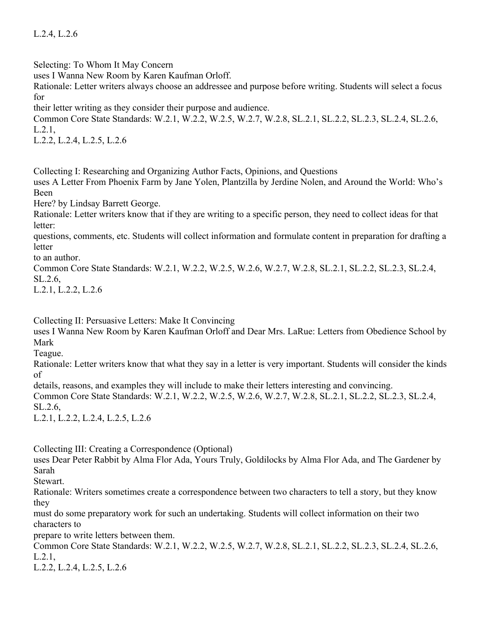L.2.4, L.2.6

Selecting: To Whom It May Concern

uses I Wanna New Room by Karen Kaufman Orloff.

Rationale: Letter writers always choose an addressee and purpose before writing. Students will select a focus for

their letter writing as they consider their purpose and audience.

Common Core State Standards: W.2.1, W.2.2, W.2.5, W.2.7, W.2.8, SL.2.1, SL.2.2, SL.2.3, SL.2.4, SL.2.6, L.2.1,

L.2.2, L.2.4, L.2.5, L.2.6

Collecting I: Researching and Organizing Author Facts, Opinions, and Questions

uses A Letter From Phoenix Farm by Jane Yolen, Plantzilla by Jerdine Nolen, and Around the World: Who's Been

Here? by Lindsay Barrett George.

Rationale: Letter writers know that if they are writing to a specific person, they need to collect ideas for that letter:

questions, comments, etc. Students will collect information and formulate content in preparation for drafting a **letter** 

to an author.

Common Core State Standards: W.2.1, W.2.2, W.2.5, W.2.6, W.2.7, W.2.8, SL.2.1, SL.2.2, SL.2.3, SL.2.4, SL.2.6,

L.2.1, L.2.2, L.2.6

Collecting II: Persuasive Letters: Make It Convincing

uses I Wanna New Room by Karen Kaufman Orloff and Dear Mrs. LaRue: Letters from Obedience School by Mark

Teague.

Rationale: Letter writers know that what they say in a letter is very important. Students will consider the kinds of

details, reasons, and examples they will include to make their letters interesting and convincing.

Common Core State Standards: W.2.1, W.2.2, W.2.5, W.2.6, W.2.7, W.2.8, SL.2.1, SL.2.2, SL.2.3, SL.2.4, SL.2.6,

L.2.1, L.2.2, L.2.4, L.2.5, L.2.6

Collecting III: Creating a Correspondence (Optional)

uses Dear Peter Rabbit by Alma Flor Ada, Yours Truly, Goldilocks by Alma Flor Ada, and The Gardener by Sarah

**Stewart** 

Rationale: Writers sometimes create a correspondence between two characters to tell a story, but they know they

must do some preparatory work for such an undertaking. Students will collect information on their two characters to

prepare to write letters between them.

Common Core State Standards: W.2.1, W.2.2, W.2.5, W.2.7, W.2.8, SL.2.1, SL.2.2, SL.2.3, SL.2.4, SL.2.6, L.2.1,

L.2.2, L.2.4, L.2.5, L.2.6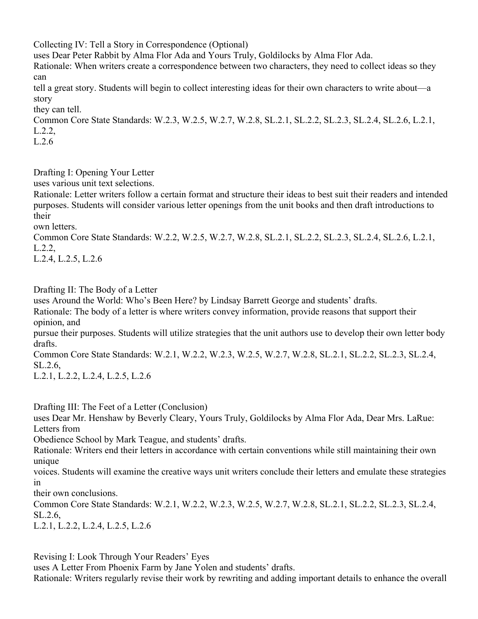Collecting IV: Tell a Story in Correspondence (Optional)

uses Dear Peter Rabbit by Alma Flor Ada and Yours Truly, Goldilocks by Alma Flor Ada.

Rationale: When writers create a correspondence between two characters, they need to collect ideas so they can

tell a great story. Students will begin to collect interesting ideas for their own characters to write about—a story

they can tell.

Common Core State Standards: W.2.3, W.2.5, W.2.7, W.2.8, SL.2.1, SL.2.2, SL.2.3, SL.2.4, SL.2.6, L.2.1, L.2.2,

L.2.6

Drafting I: Opening Your Letter

uses various unit text selections.

Rationale: Letter writers follow a certain format and structure their ideas to best suit their readers and intended purposes. Students will consider various letter openings from the unit books and then draft introductions to their

own letters.

Common Core State Standards: W.2.2, W.2.5, W.2.7, W.2.8, SL.2.1, SL.2.2, SL.2.3, SL.2.4, SL.2.6, L.2.1, L.2.2,

L.2.4, L.2.5, L.2.6

Drafting II: The Body of a Letter

uses Around the World: Who's Been Here? by Lindsay Barrett George and students' drafts.

Rationale: The body of a letter is where writers convey information, provide reasons that support their opinion, and

pursue their purposes. Students will utilize strategies that the unit authors use to develop their own letter body drafts.

Common Core State Standards: W.2.1, W.2.2, W.2.3, W.2.5, W.2.7, W.2.8, SL.2.1, SL.2.2, SL.2.3, SL.2.4, SL.2.6,

L.2.1, L.2.2, L.2.4, L.2.5, L.2.6

Drafting III: The Feet of a Letter (Conclusion)

uses Dear Mr. Henshaw by Beverly Cleary, Yours Truly, Goldilocks by Alma Flor Ada, Dear Mrs. LaRue: Letters from

Obedience School by Mark Teague, and students' drafts.

Rationale: Writers end their letters in accordance with certain conventions while still maintaining their own unique

voices. Students will examine the creative ways unit writers conclude their letters and emulate these strategies in

their own conclusions.

Common Core State Standards: W.2.1, W.2.2, W.2.3, W.2.5, W.2.7, W.2.8, SL.2.1, SL.2.2, SL.2.3, SL.2.4, SL.2.6,

L.2.1, L.2.2, L.2.4, L.2.5, L.2.6

Revising I: Look Through Your Readers' Eyes

uses A Letter From Phoenix Farm by Jane Yolen and students' drafts.

Rationale: Writers regularly revise their work by rewriting and adding important details to enhance the overall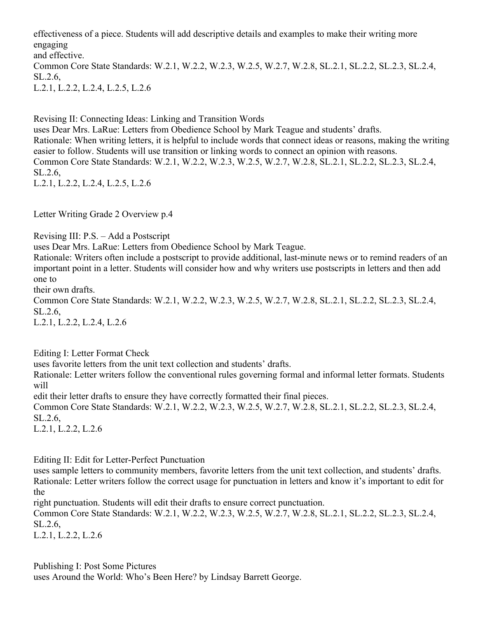effectiveness of a piece. Students will add descriptive details and examples to make their writing more engaging and effective. Common Core State Standards: W.2.1, W.2.2, W.2.3, W.2.5, W.2.7, W.2.8, SL.2.1, SL.2.2, SL.2.3, SL.2.4, SL.2.6, L.2.1, L.2.2, L.2.4, L.2.5, L.2.6

Revising II: Connecting Ideas: Linking and Transition Words uses Dear Mrs. LaRue: Letters from Obedience School by Mark Teague and students' drafts. Rationale: When writing letters, it is helpful to include words that connect ideas or reasons, making the writing easier to follow. Students will use transition or linking words to connect an opinion with reasons. Common Core State Standards: W.2.1, W.2.2, W.2.3, W.2.5, W.2.7, W.2.8, SL.2.1, SL.2.2, SL.2.3, SL.2.4, SL.2.6, L.2.1, L.2.2, L.2.4, L.2.5, L.2.6

Letter Writing Grade 2 Overview p.4

Revising III: P.S. – Add a Postscript

uses Dear Mrs. LaRue: Letters from Obedience School by Mark Teague.

Rationale: Writers often include a postscript to provide additional, last-minute news or to remind readers of an important point in a letter. Students will consider how and why writers use postscripts in letters and then add one to

their own drafts.

Common Core State Standards: W.2.1, W.2.2, W.2.3, W.2.5, W.2.7, W.2.8, SL.2.1, SL.2.2, SL.2.3, SL.2.4, SL.2.6,

L.2.1, L.2.2, L.2.4, L.2.6

Editing I: Letter Format Check

uses favorite letters from the unit text collection and students' drafts.

Rationale: Letter writers follow the conventional rules governing formal and informal letter formats. Students will

edit their letter drafts to ensure they have correctly formatted their final pieces.

Common Core State Standards: W.2.1, W.2.2, W.2.3, W.2.5, W.2.7, W.2.8, SL.2.1, SL.2.2, SL.2.3, SL.2.4, SL.2.6,

L.2.1, L.2.2, L.2.6

Editing II: Edit for Letter-Perfect Punctuation

uses sample letters to community members, favorite letters from the unit text collection, and students' drafts. Rationale: Letter writers follow the correct usage for punctuation in letters and know it's important to edit for the

right punctuation. Students will edit their drafts to ensure correct punctuation.

Common Core State Standards: W.2.1, W.2.2, W.2.3, W.2.5, W.2.7, W.2.8, SL.2.1, SL.2.2, SL.2.3, SL.2.4, SL.2.6,

L.2.1, L.2.2, L.2.6

Publishing I: Post Some Pictures uses Around the World: Who's Been Here? by Lindsay Barrett George.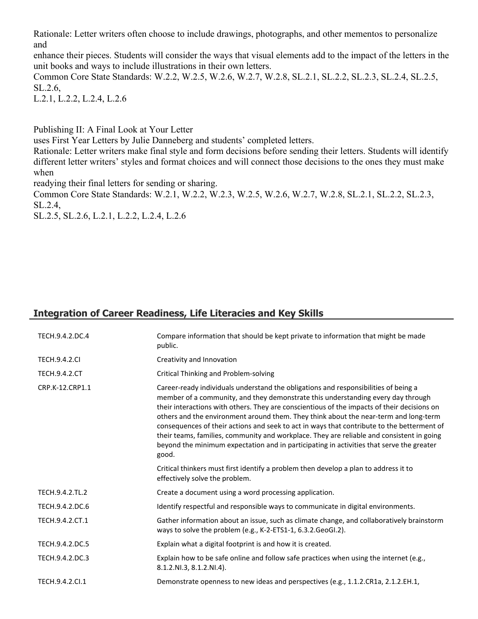Rationale: Letter writers often choose to include drawings, photographs, and other mementos to personalize and

enhance their pieces. Students will consider the ways that visual elements add to the impact of the letters in the unit books and ways to include illustrations in their own letters.

Common Core State Standards: W.2.2, W.2.5, W.2.6, W.2.7, W.2.8, SL.2.1, SL.2.2, SL.2.3, SL.2.4, SL.2.5, SL.2.6,

L.2.1, L.2.2, L.2.4, L.2.6

Publishing II: A Final Look at Your Letter

uses First Year Letters by Julie Danneberg and students' completed letters.

Rationale: Letter writers make final style and form decisions before sending their letters. Students will identify different letter writers' styles and format choices and will connect those decisions to the ones they must make when

readying their final letters for sending or sharing.

Common Core State Standards: W.2.1, W.2.2, W.2.3, W.2.5, W.2.6, W.2.7, W.2.8, SL.2.1, SL.2.2, SL.2.3, SL.2.4,

SL.2.5, SL.2.6, L.2.1, L.2.2, L.2.4, L.2.6

# **Integration of Career Readiness, Life Literacies and Key Skills**

| TECH.9.4.2.DC.4      | Compare information that should be kept private to information that might be made<br>public.                                                                                                                                                                                                                                                                                                                                                                                                                                                                                                                                                                   |
|----------------------|----------------------------------------------------------------------------------------------------------------------------------------------------------------------------------------------------------------------------------------------------------------------------------------------------------------------------------------------------------------------------------------------------------------------------------------------------------------------------------------------------------------------------------------------------------------------------------------------------------------------------------------------------------------|
| <b>TECH.9.4.2.CI</b> | Creativity and Innovation                                                                                                                                                                                                                                                                                                                                                                                                                                                                                                                                                                                                                                      |
| <b>TECH.9.4.2.CT</b> | Critical Thinking and Problem-solving                                                                                                                                                                                                                                                                                                                                                                                                                                                                                                                                                                                                                          |
| CRP.K-12.CRP1.1      | Career-ready individuals understand the obligations and responsibilities of being a<br>member of a community, and they demonstrate this understanding every day through<br>their interactions with others. They are conscientious of the impacts of their decisions on<br>others and the environment around them. They think about the near-term and long-term<br>consequences of their actions and seek to act in ways that contribute to the betterment of<br>their teams, families, community and workplace. They are reliable and consistent in going<br>beyond the minimum expectation and in participating in activities that serve the greater<br>good. |
|                      | Critical thinkers must first identify a problem then develop a plan to address it to<br>effectively solve the problem.                                                                                                                                                                                                                                                                                                                                                                                                                                                                                                                                         |
| TECH.9.4.2.TL.2      | Create a document using a word processing application.                                                                                                                                                                                                                                                                                                                                                                                                                                                                                                                                                                                                         |
| TECH.9.4.2.DC.6      | Identify respectful and responsible ways to communicate in digital environments.                                                                                                                                                                                                                                                                                                                                                                                                                                                                                                                                                                               |
| TECH.9.4.2.CT.1      | Gather information about an issue, such as climate change, and collaboratively brainstorm<br>ways to solve the problem (e.g., K-2-ETS1-1, 6.3.2.GeoGI.2).                                                                                                                                                                                                                                                                                                                                                                                                                                                                                                      |
| TECH.9.4.2.DC.5      | Explain what a digital footprint is and how it is created.                                                                                                                                                                                                                                                                                                                                                                                                                                                                                                                                                                                                     |
| TECH.9.4.2.DC.3      | Explain how to be safe online and follow safe practices when using the internet (e.g.,<br>8.1.2.NI.3, 8.1.2.NI.4).                                                                                                                                                                                                                                                                                                                                                                                                                                                                                                                                             |
| TECH.9.4.2.Cl.1      | Demonstrate openness to new ideas and perspectives (e.g., 1.1.2.CR1a, 2.1.2.EH.1,                                                                                                                                                                                                                                                                                                                                                                                                                                                                                                                                                                              |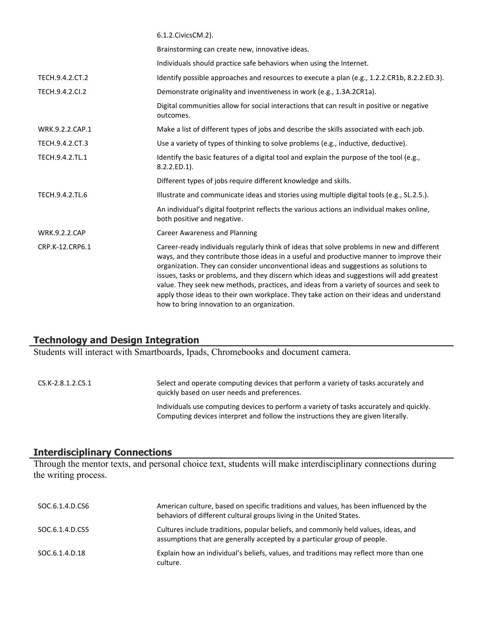|                      | 6.1.2. Civics CM. 2).                                                                                                                                                                                                                                                                                                                                                                                                                                                                                                                                                                                              |
|----------------------|--------------------------------------------------------------------------------------------------------------------------------------------------------------------------------------------------------------------------------------------------------------------------------------------------------------------------------------------------------------------------------------------------------------------------------------------------------------------------------------------------------------------------------------------------------------------------------------------------------------------|
|                      | Brainstorming can create new, innovative ideas.                                                                                                                                                                                                                                                                                                                                                                                                                                                                                                                                                                    |
|                      | Individuals should practice safe behaviors when using the Internet.                                                                                                                                                                                                                                                                                                                                                                                                                                                                                                                                                |
| TECH.9.4.2.CT.2      | Identify possible approaches and resources to execute a plan (e.g., 1.2.2.CR1b, 8.2.2.ED.3).                                                                                                                                                                                                                                                                                                                                                                                                                                                                                                                       |
| TECH.9.4.2.CI.2      | Demonstrate originality and inventiveness in work (e.g., 1.3A.2CR1a).                                                                                                                                                                                                                                                                                                                                                                                                                                                                                                                                              |
|                      | Digital communities allow for social interactions that can result in positive or negative<br>outcomes.                                                                                                                                                                                                                                                                                                                                                                                                                                                                                                             |
| WRK.9.2.2.CAP.1      | Make a list of different types of jobs and describe the skills associated with each job.                                                                                                                                                                                                                                                                                                                                                                                                                                                                                                                           |
| TECH.9.4.2.CT.3      | Use a variety of types of thinking to solve problems (e.g., inductive, deductive).                                                                                                                                                                                                                                                                                                                                                                                                                                                                                                                                 |
| TECH.9.4.2.TL.1      | Identify the basic features of a digital tool and explain the purpose of the tool (e.g.,<br>8.2.2.ED.1).                                                                                                                                                                                                                                                                                                                                                                                                                                                                                                           |
|                      | Different types of jobs require different knowledge and skills.                                                                                                                                                                                                                                                                                                                                                                                                                                                                                                                                                    |
| TECH.9.4.2.TL.6      | Illustrate and communicate ideas and stories using multiple digital tools (e.g., SL.2.5.).                                                                                                                                                                                                                                                                                                                                                                                                                                                                                                                         |
|                      | An individual's digital footprint reflects the various actions an individual makes online,<br>both positive and negative.                                                                                                                                                                                                                                                                                                                                                                                                                                                                                          |
| <b>WRK.9.2.2.CAP</b> | <b>Career Awareness and Planning</b>                                                                                                                                                                                                                                                                                                                                                                                                                                                                                                                                                                               |
| CRP.K-12.CRP6.1      | Career-ready individuals regularly think of ideas that solve problems in new and different<br>ways, and they contribute those ideas in a useful and productive manner to improve their<br>organization. They can consider unconventional ideas and suggestions as solutions to<br>issues, tasks or problems, and they discern which ideas and suggestions will add greatest<br>value. They seek new methods, practices, and ideas from a variety of sources and seek to<br>apply those ideas to their own workplace. They take action on their ideas and understand<br>how to bring innovation to an organization. |

## **Technology and Design Integration**

Students will interact with Smartboards, Ipads, Chromebooks and document camera.

CS.K-2.8.1.2.CS.1 Select and operate computing devices that perform a variety of tasks accurately and quickly based on user needs and preferences. Individuals use computing devices to perform a variety of tasks accurately and quickly. Computing devices interpret and follow the instructions they are given literally.

## **Interdisciplinary Connections**

Through the mentor texts, and personal choice text, students will make interdisciplinary connections during the writing process.

| SOC.6.1.4.D.CS6 | American culture, based on specific traditions and values, has been influenced by the<br>behaviors of different cultural groups living in the United States.   |
|-----------------|----------------------------------------------------------------------------------------------------------------------------------------------------------------|
| SOC.6.1.4.D.CS5 | Cultures include traditions, popular beliefs, and commonly held values, ideas, and<br>assumptions that are generally accepted by a particular group of people. |
| SOC.6.1.4.D.18  | Explain how an individual's beliefs, values, and traditions may reflect more than one<br>culture.                                                              |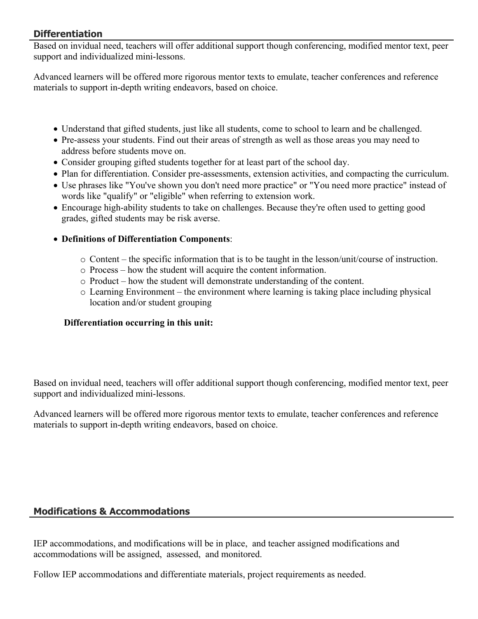# **Differentiation**

Based on invidual need, teachers will offer additional support though conferencing, modified mentor text, peer support and individualized mini-lessons.

Advanced learners will be offered more rigorous mentor texts to emulate, teacher conferences and reference materials to support in-depth writing endeavors, based on choice.

- Understand that gifted students, just like all students, come to school to learn and be challenged.
- Pre-assess your students. Find out their areas of strength as well as those areas you may need to address before students move on.
- Consider grouping gifted students together for at least part of the school day.
- Plan for differentiation. Consider pre-assessments, extension activities, and compacting the curriculum.
- Use phrases like "You've shown you don't need more practice" or "You need more practice" instead of words like "qualify" or "eligible" when referring to extension work.
- Encourage high-ability students to take on challenges. Because they're often used to getting good grades, gifted students may be risk averse.
- **Definitions of Differentiation Components**:
	- $\circ$  Content the specific information that is to be taught in the lesson/unit/course of instruction.
	- o Process how the student will acquire the content information.
	- o Product how the student will demonstrate understanding of the content.
	- o Learning Environment the environment where learning is taking place including physical location and/or student grouping

# **Differentiation occurring in this unit:**

Based on invidual need, teachers will offer additional support though conferencing, modified mentor text, peer support and individualized mini-lessons.

Advanced learners will be offered more rigorous mentor texts to emulate, teacher conferences and reference materials to support in-depth writing endeavors, based on choice.

# **Modifications & Accommodations**

IEP accommodations, and modifications will be in place, and teacher assigned modifications and accommodations will be assigned, assessed, and monitored.

Follow IEP accommodations and differentiate materials, project requirements as needed.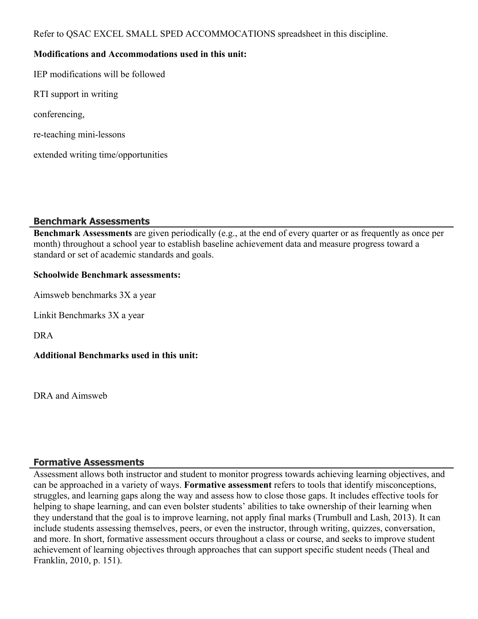Refer to QSAC EXCEL SMALL SPED ACCOMMOCATIONS spreadsheet in this discipline.

## **Modifications and Accommodations used in this unit:**

IEP modifications will be followed

RTI support in writing

conferencing,

re-teaching mini-lessons

extended writing time/opportunities

# **Benchmark Assessments**

**Benchmark Assessments** are given periodically (e.g., at the end of every quarter or as frequently as once per month) throughout a school year to establish baseline achievement data and measure progress toward a standard or set of academic standards and goals.

## **Schoolwide Benchmark assessments:**

Aimsweb benchmarks 3X a year

Linkit Benchmarks 3X a year

DRA

**Additional Benchmarks used in this unit:**

DRA and Aimsweb

# **Formative Assessments**

Assessment allows both instructor and student to monitor progress towards achieving learning objectives, and can be approached in a variety of ways. **Formative assessment** refers to tools that identify misconceptions, struggles, and learning gaps along the way and assess how to close those gaps. It includes effective tools for helping to shape learning, and can even bolster students' abilities to take ownership of their learning when they understand that the goal is to improve learning, not apply final marks (Trumbull and Lash, 2013). It can include students assessing themselves, peers, or even the instructor, through writing, quizzes, conversation, and more. In short, formative assessment occurs throughout a class or course, and seeks to improve student achievement of learning objectives through approaches that can support specific student needs (Theal and Franklin, 2010, p. 151).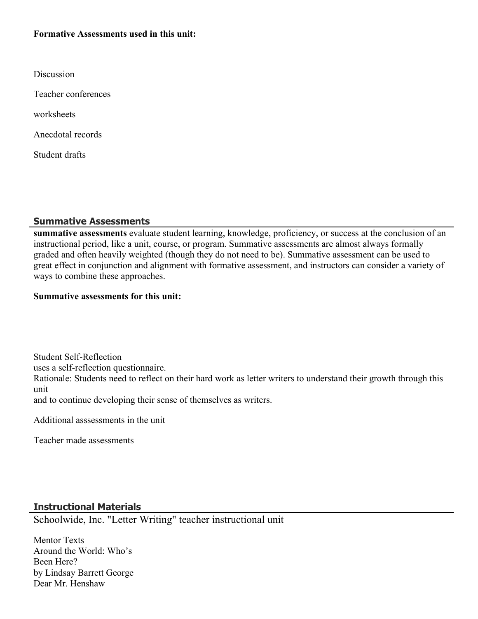## **Formative Assessments used in this unit:**

| Discussion          |
|---------------------|
| Teacher conferences |
| worksheets          |

Anecdotal records

Student drafts

#### **Summative Assessments**

**summative assessments** evaluate student learning, knowledge, proficiency, or success at the conclusion of an instructional period, like a unit, course, or program. Summative assessments are almost always formally graded and often heavily weighted (though they do not need to be). Summative assessment can be used to great effect in conjunction and alignment with formative assessment, and instructors can consider a variety of ways to combine these approaches.

#### **Summative assessments for this unit:**

Student Self-Reflection uses a self-reflection questionnaire. Rationale: Students need to reflect on their hard work as letter writers to understand their growth through this unit

and to continue developing their sense of themselves as writers.

Additional asssessments in the unit

Teacher made assessments

## **Instructional Materials**

Schoolwide, Inc. "Letter Writing" teacher instructional unit

Mentor Texts Around the World: Who's Been Here? by Lindsay Barrett George Dear Mr. Henshaw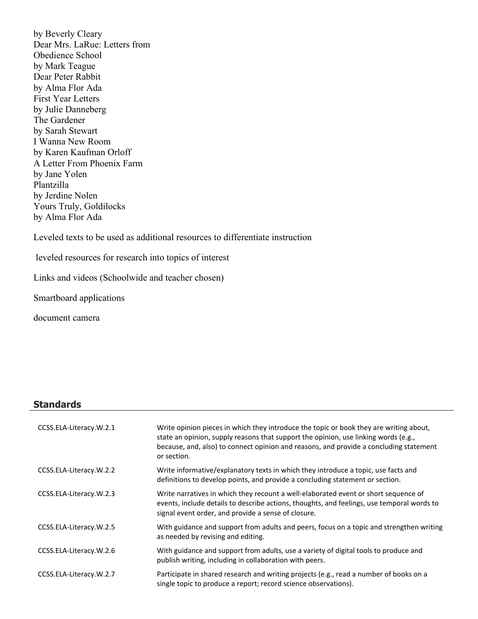by Beverly Cleary Dear Mrs. LaRue: Letters from Obedience School by Mark Teague Dear Peter Rabbit by Alma Flor Ada First Year Letters by Julie Danneberg The Gardener by Sarah Stewart I Wanna New Room by Karen Kaufman Orloff A Letter From Phoenix Farm by Jane Yolen Plantzilla by Jerdine Nolen Yours Truly, Goldilocks by Alma Flor Ada

Leveled texts to be used as additional resources to differentiate instruction

leveled resources for research into topics of interest

Links and videos (Schoolwide and teacher chosen)

Smartboard applications

document camera

#### **Standards**

| CCSS.ELA-Literacy.W.2.1 | Write opinion pieces in which they introduce the topic or book they are writing about,<br>state an opinion, supply reasons that support the opinion, use linking words (e.g.,<br>because, and, also) to connect opinion and reasons, and provide a concluding statement<br>or section. |
|-------------------------|----------------------------------------------------------------------------------------------------------------------------------------------------------------------------------------------------------------------------------------------------------------------------------------|
| CCSS.ELA-Literacy.W.2.2 | Write informative/explanatory texts in which they introduce a topic, use facts and<br>definitions to develop points, and provide a concluding statement or section.                                                                                                                    |
| CCSS.ELA-Literacy.W.2.3 | Write narratives in which they recount a well-elaborated event or short sequence of<br>events, include details to describe actions, thoughts, and feelings, use temporal words to<br>signal event order, and provide a sense of closure.                                               |
| CCSS.ELA-Literacy.W.2.5 | With guidance and support from adults and peers, focus on a topic and strengthen writing<br>as needed by revising and editing.                                                                                                                                                         |
| CCSS.ELA-Literacy.W.2.6 | With guidance and support from adults, use a variety of digital tools to produce and<br>publish writing, including in collaboration with peers.                                                                                                                                        |
| CCSS.ELA-Literacy.W.2.7 | Participate in shared research and writing projects (e.g., read a number of books on a<br>single topic to produce a report; record science observations).                                                                                                                              |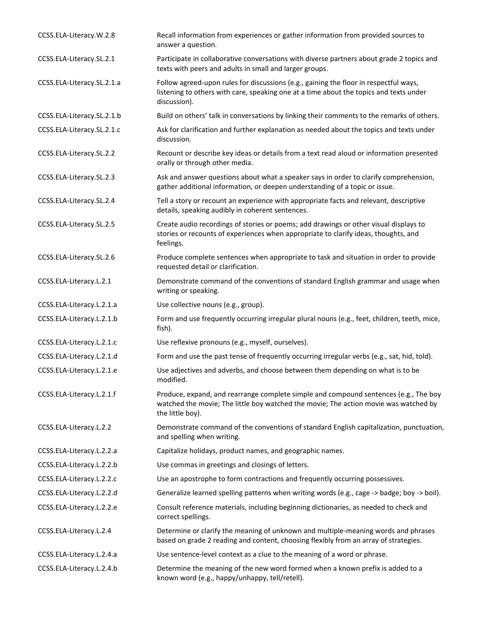| CCSS.ELA-Literacy.W.2.8    | Recall information from experiences or gather information from provided sources to<br>answer a question.                                                                                         |
|----------------------------|--------------------------------------------------------------------------------------------------------------------------------------------------------------------------------------------------|
| CCSS.ELA-Literacy.SL.2.1   | Participate in collaborative conversations with diverse partners about grade 2 topics and<br>texts with peers and adults in small and larger groups.                                             |
| CCSS.ELA-Literacy.SL.2.1.a | Follow agreed-upon rules for discussions (e.g., gaining the floor in respectful ways,<br>listening to others with care, speaking one at a time about the topics and texts under<br>discussion).  |
| CCSS.ELA-Literacy.SL.2.1.b | Build on others' talk in conversations by linking their comments to the remarks of others.                                                                                                       |
| CCSS.ELA-Literacy.SL.2.1.c | Ask for clarification and further explanation as needed about the topics and texts under<br>discussion.                                                                                          |
| CCSS.ELA-Literacy.SL.2.2   | Recount or describe key ideas or details from a text read aloud or information presented<br>orally or through other media.                                                                       |
| CCSS.ELA-Literacy.SL.2.3   | Ask and answer questions about what a speaker says in order to clarify comprehension,<br>gather additional information, or deepen understanding of a topic or issue.                             |
| CCSS.ELA-Literacy.SL.2.4   | Tell a story or recount an experience with appropriate facts and relevant, descriptive<br>details, speaking audibly in coherent sentences.                                                       |
| CCSS.ELA-Literacy.SL.2.5   | Create audio recordings of stories or poems; add drawings or other visual displays to<br>stories or recounts of experiences when appropriate to clarify ideas, thoughts, and<br>feelings.        |
| CCSS.ELA-Literacy.SL.2.6   | Produce complete sentences when appropriate to task and situation in order to provide<br>requested detail or clarification.                                                                      |
| CCSS.ELA-Literacy.L.2.1    | Demonstrate command of the conventions of standard English grammar and usage when<br>writing or speaking.                                                                                        |
| CCSS.ELA-Literacy.L.2.1.a  | Use collective nouns (e.g., group).                                                                                                                                                              |
| CCSS.ELA-Literacy.L.2.1.b  | Form and use frequently occurring irregular plural nouns (e.g., feet, children, teeth, mice,<br>fish).                                                                                           |
| CCSS.ELA-Literacy.L.2.1.c  | Use reflexive pronouns (e.g., myself, ourselves).                                                                                                                                                |
| CCSS.ELA-Literacy.L.2.1.d  | Form and use the past tense of frequently occurring irregular verbs (e.g., sat, hid, told).                                                                                                      |
| CCSS.ELA-Literacy.L.2.1.e  | Use adjectives and adverbs, and choose between them depending on what is to be<br>modified.                                                                                                      |
| CCSS.ELA-Literacy.L.2.1.f  | Produce, expand, and rearrange complete simple and compound sentences (e.g., The boy<br>watched the movie; The little boy watched the movie; The action movie was watched by<br>the little boy). |
| CCSS.ELA-Literacy.L.2.2    | Demonstrate command of the conventions of standard English capitalization, punctuation,<br>and spelling when writing.                                                                            |
| CCSS.ELA-Literacy.L.2.2.a  | Capitalize holidays, product names, and geographic names.                                                                                                                                        |
| CCSS.ELA-Literacy.L.2.2.b  | Use commas in greetings and closings of letters.                                                                                                                                                 |
| CCSS.ELA-Literacy.L.2.2.c  | Use an apostrophe to form contractions and frequently occurring possessives.                                                                                                                     |
| CCSS.ELA-Literacy.L.2.2.d  | Generalize learned spelling patterns when writing words (e.g., cage -> badge; boy -> boil).                                                                                                      |
| CCSS.ELA-Literacy.L.2.2.e  | Consult reference materials, including beginning dictionaries, as needed to check and<br>correct spellings.                                                                                      |
| CCSS.ELA-Literacy.L.2.4    | Determine or clarify the meaning of unknown and multiple-meaning words and phrases<br>based on grade 2 reading and content, choosing flexibly from an array of strategies.                       |
| CCSS.ELA-Literacy.L.2.4.a  | Use sentence-level context as a clue to the meaning of a word or phrase.                                                                                                                         |
| CCSS.ELA-Literacy.L.2.4.b  | Determine the meaning of the new word formed when a known prefix is added to a<br>known word (e.g., happy/unhappy, tell/retell).                                                                 |